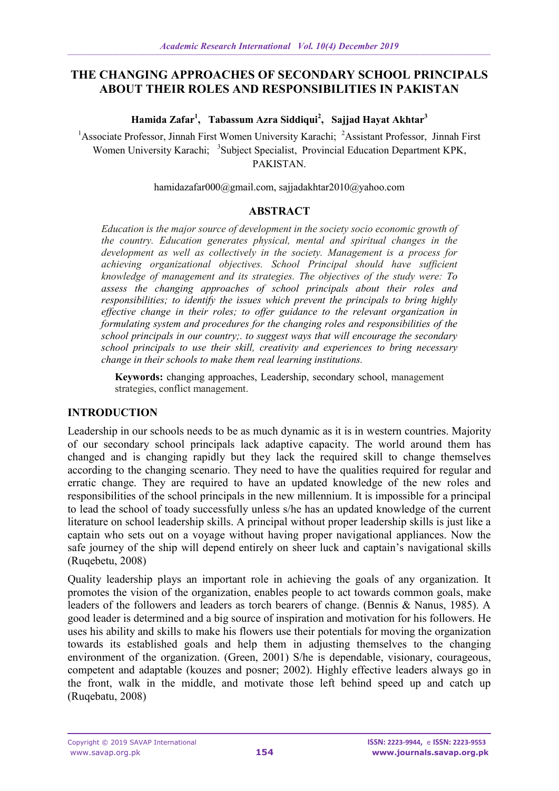# **THE CHANGING APPROACHES OF SECONDARY SCHOOL PRINCIPALS ABOUT THEIR ROLES AND RESPONSIBILITIES IN PAKISTAN**

**Hamida Zafar<sup>1</sup> , Tabassum Azra Siddiqui<sup>2</sup> , Sajjad Hayat Akhtar<sup>3</sup>**

<sup>1</sup>Associate Professor, Jinnah First Women University Karachi; <sup>2</sup>Assistant Professor, Jinnah First Women University Karachi; <sup>3</sup>Subject Specialist, Provincial Education Department KPK, PAKISTAN.

[hamidazafar000@gmail.com,](mailto:hamidazafar000@gmail.com) sajjadakhtar2010@yahoo.com

## **ABSTRACT**

*Education is the major source of development in the society socio economic growth of the country. Education generates physical, mental and spiritual changes in the development as well as collectively in the society. Management is a process for achieving organizational objectives. School Principal should have sufficient knowledge of management and its strategies. The objectives of the study were: To assess the changing approaches of school principals about their roles and responsibilities; to identify the issues which prevent the principals to bring highly effective change in their roles; to offer guidance to the relevant organization in formulating system and procedures for the changing roles and responsibilities of the school principals in our country;. to suggest ways that will encourage the secondary school principals to use their skill, creativity and experiences to bring necessary change in their schools to make them real learning institutions.*

**Keywords:** changing approaches, Leadership, secondary school, management strategies, conflict management.

## **INTRODUCTION**

Leadership in our schools needs to be as much dynamic as it is in western countries. Majority of our secondary school principals lack adaptive capacity. The world around them has changed and is changing rapidly but they lack the required skill to change themselves according to the changing scenario. They need to have the qualities required for regular and erratic change. They are required to have an updated knowledge of the new roles and responsibilities of the school principals in the new millennium. It is impossible for a principal to lead the school of toady successfully unless s/he has an updated knowledge of the current literature on school leadership skills. A principal without proper leadership skills is just like a captain who sets out on a voyage without having proper navigational appliances. Now the safe journey of the ship will depend entirely on sheer luck and captain's navigational skills (Ruqebetu, 2008)

Quality leadership plays an important role in achieving the goals of any organization. It promotes the vision of the organization, enables people to act towards common goals, make leaders of the followers and leaders as torch bearers of change. (Bennis & Nanus, 1985). A good leader is determined and a big source of inspiration and motivation for his followers. He uses his ability and skills to make his flowers use their potentials for moving the organization towards its established goals and help them in adjusting themselves to the changing environment of the organization. (Green, 2001) S/he is dependable, visionary, courageous, competent and adaptable (kouzes and posner; 2002). Highly effective leaders always go in the front, walk in the middle, and motivate those left behind speed up and catch up (Ruqebatu, 2008)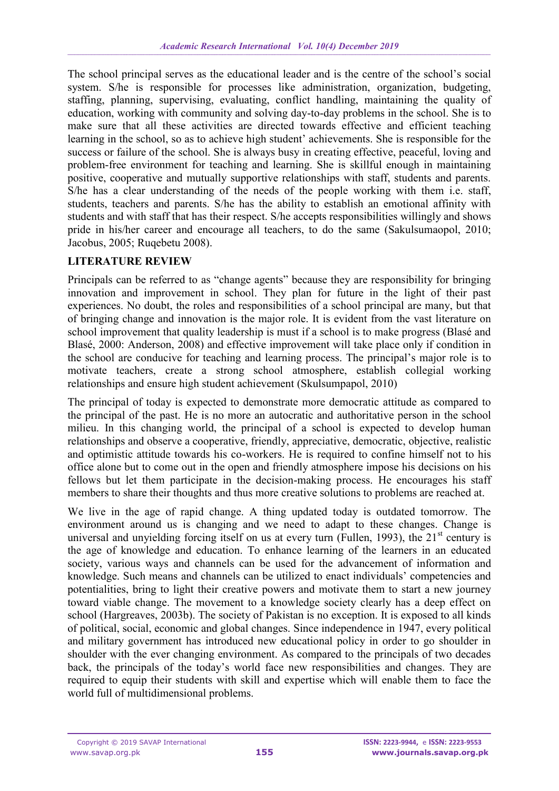The school principal serves as the educational leader and is the centre of the school's social system. S/he is responsible for processes like administration, organization, budgeting, staffing, planning, supervising, evaluating, conflict handling, maintaining the quality of education, working with community and solving day-to-day problems in the school. She is to make sure that all these activities are directed towards effective and efficient teaching learning in the school, so as to achieve high student' achievements. She is responsible for the success or failure of the school. She is always busy in creating effective, peaceful, loving and problem-free environment for teaching and learning. She is skillful enough in maintaining positive, cooperative and mutually supportive relationships with staff, students and parents. S/he has a clear understanding of the needs of the people working with them i.e. staff, students, teachers and parents. S/he has the ability to establish an emotional affinity with students and with staff that has their respect. S/he accepts responsibilities willingly and shows pride in his/her career and encourage all teachers, to do the same (Sakulsumaopol, 2010; Jacobus, 2005; Ruqebetu 2008).

## **LITERATURE REVIEW**

Principals can be referred to as "change agents" because they are responsibility for bringing innovation and improvement in school. They plan for future in the light of their past experiences. No doubt, the roles and responsibilities of a school principal are many, but that of bringing change and innovation is the major role. It is evident from the vast literature on school improvement that quality leadership is must if a school is to make progress (Blasé and Blasé, 2000: Anderson, 2008) and effective improvement will take place only if condition in the school are conducive for teaching and learning process. The principal's major role is to motivate teachers, create a strong school atmosphere, establish collegial working relationships and ensure high student achievement (Skulsumpapol, 2010)

The principal of today is expected to demonstrate more democratic attitude as compared to the principal of the past. He is no more an autocratic and authoritative person in the school milieu. In this changing world, the principal of a school is expected to develop human relationships and observe a cooperative, friendly, appreciative, democratic, objective, realistic and optimistic attitude towards his co-workers. He is required to confine himself not to his office alone but to come out in the open and friendly atmosphere impose his decisions on his fellows but let them participate in the decision-making process. He encourages his staff members to share their thoughts and thus more creative solutions to problems are reached at.

We live in the age of rapid change. A thing updated today is outdated tomorrow. The environment around us is changing and we need to adapt to these changes. Change is universal and unyielding forcing itself on us at every turn (Fullen, 1993), the 21<sup>st</sup> century is the age of knowledge and education. To enhance learning of the learners in an educated society, various ways and channels can be used for the advancement of information and knowledge. Such means and channels can be utilized to enact individuals' competencies and potentialities, bring to light their creative powers and motivate them to start a new journey toward viable change. The movement to a knowledge society clearly has a deep effect on school (Hargreaves, 2003b). The society of Pakistan is no exception. It is exposed to all kinds of political, social, economic and global changes. Since independence in 1947, every political and military government has introduced new educational policy in order to go shoulder in shoulder with the ever changing environment. As compared to the principals of two decades back, the principals of the today's world face new responsibilities and changes. They are required to equip their students with skill and expertise which will enable them to face the world full of multidimensional problems.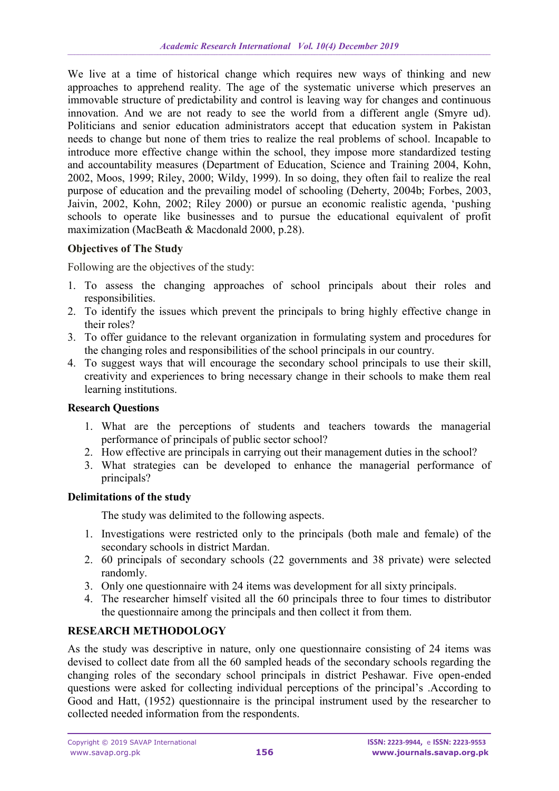We live at a time of historical change which requires new ways of thinking and new approaches to apprehend reality. The age of the systematic universe which preserves an immovable structure of predictability and control is leaving way for changes and continuous innovation. And we are not ready to see the world from a different angle (Smyre ud). Politicians and senior education administrators accept that education system in Pakistan needs to change but none of them tries to realize the real problems of school. Incapable to introduce more effective change within the school, they impose more standardized testing and accountability measures (Department of Education, Science and Training 2004, Kohn, 2002, Moos, 1999; Riley, 2000; Wildy, 1999). In so doing, they often fail to realize the real purpose of education and the prevailing model of schooling (Deherty, 2004b; Forbes, 2003, Jaivin, 2002, Kohn, 2002; Riley 2000) or pursue an economic realistic agenda, 'pushing schools to operate like businesses and to pursue the educational equivalent of profit maximization (MacBeath & Macdonald 2000, p.28).

## **Objectives of The Study**

Following are the objectives of the study:

- 1. To assess the changing approaches of school principals about their roles and responsibilities.
- 2. To identify the issues which prevent the principals to bring highly effective change in their roles?
- 3. To offer guidance to the relevant organization in formulating system and procedures for the changing roles and responsibilities of the school principals in our country.
- 4. To suggest ways that will encourage the secondary school principals to use their skill, creativity and experiences to bring necessary change in their schools to make them real learning institutions.

## **Research Questions**

- 1. What are the perceptions of students and teachers towards the managerial performance of principals of public sector school?
- 2. How effective are principals in carrying out their management duties in the school?
- 3. What strategies can be developed to enhance the managerial performance of principals?

#### **Delimitations of the study**

The study was delimited to the following aspects.

- 1. Investigations were restricted only to the principals (both male and female) of the secondary schools in district Mardan.
- 2. 60 principals of secondary schools (22 governments and 38 private) were selected randomly.
- 3. Only one questionnaire with 24 items was development for all sixty principals.
- 4. The researcher himself visited all the 60 principals three to four times to distributor the questionnaire among the principals and then collect it from them.

## **RESEARCH METHODOLOGY**

As the study was descriptive in nature, only one questionnaire consisting of 24 items was devised to collect date from all the 60 sampled heads of the secondary schools regarding the changing roles of the secondary school principals in district Peshawar. Five open-ended questions were asked for collecting individual perceptions of the principal's .According to Good and Hatt, (1952) questionnaire is the principal instrument used by the researcher to collected needed information from the respondents.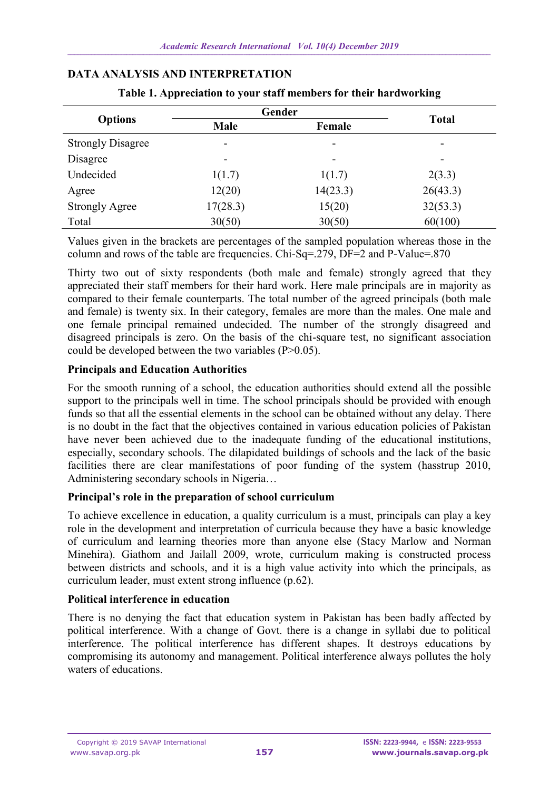| <b>Options</b>           | Gender   |                          |              |
|--------------------------|----------|--------------------------|--------------|
|                          | Male     | Female                   | <b>Total</b> |
| <b>Strongly Disagree</b> | -        | -                        | -            |
| Disagree                 |          | $\overline{\phantom{a}}$ | -            |
| Undecided                | 1(1.7)   | 1(1.7)                   | 2(3.3)       |
| Agree                    | 12(20)   | 14(23.3)                 | 26(43.3)     |
| <b>Strongly Agree</b>    | 17(28.3) | 15(20)                   | 32(53.3)     |
| Total                    | 30(50)   | 30(50)                   | 60(100)      |

### **DATA ANALYSIS AND INTERPRETATION**

**Table 1. Appreciation to your staff members for their hardworking**

Values given in the brackets are percentages of the sampled population whereas those in the column and rows of the table are frequencies. Chi-Sq=.279, DF=2 and P-Value=.870

Thirty two out of sixty respondents (both male and female) strongly agreed that they appreciated their staff members for their hard work. Here male principals are in majority as compared to their female counterparts. The total number of the agreed principals (both male and female) is twenty six. In their category, females are more than the males. One male and one female principal remained undecided. The number of the strongly disagreed and disagreed principals is zero. On the basis of the chi-square test, no significant association could be developed between the two variables (P>0.05).

## **Principals and Education Authorities**

For the smooth running of a school, the education authorities should extend all the possible support to the principals well in time. The school principals should be provided with enough funds so that all the essential elements in the school can be obtained without any delay. There is no doubt in the fact that the objectives contained in various education policies of Pakistan have never been achieved due to the inadequate funding of the educational institutions, especially, secondary schools. The dilapidated buildings of schools and the lack of the basic facilities there are clear manifestations of poor funding of the system (hasstrup 2010, Administering secondary schools in Nigeria…

## **Principal's role in the preparation of school curriculum**

To achieve excellence in education, a quality curriculum is a must, principals can play a key role in the development and interpretation of curricula because they have a basic knowledge of curriculum and learning theories more than anyone else (Stacy Marlow and Norman Minehira). Giathom and Jailall 2009, wrote, curriculum making is constructed process between districts and schools, and it is a high value activity into which the principals, as curriculum leader, must extent strong influence (p.62).

## **Political interference in education**

There is no denying the fact that education system in Pakistan has been badly affected by political interference. With a change of Govt. there is a change in syllabi due to political interference. The political interference has different shapes. It destroys educations by compromising its autonomy and management. Political interference always pollutes the holy waters of educations.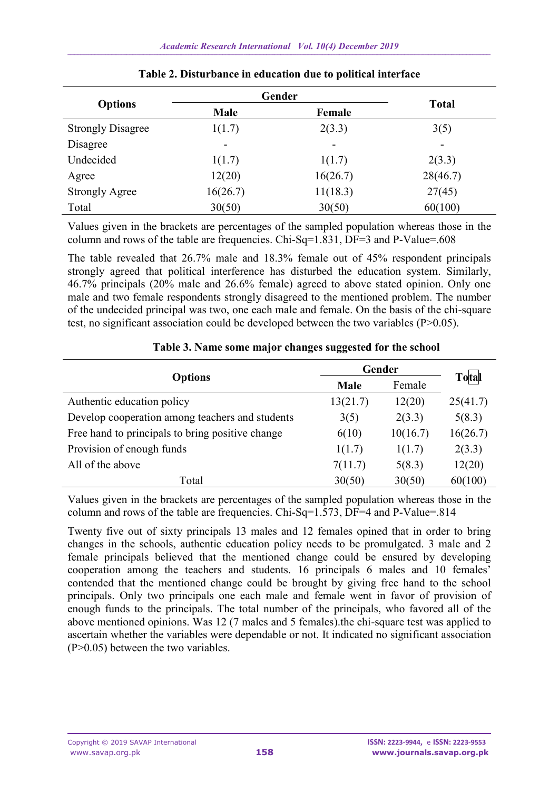|                          | Gender      |                          |              |
|--------------------------|-------------|--------------------------|--------------|
| <b>Options</b>           | <b>Male</b> | Female                   | <b>Total</b> |
| <b>Strongly Disagree</b> | 1(1.7)      | 2(3.3)                   | 3(5)         |
| Disagree                 | -           | $\overline{\phantom{a}}$ | ۰            |
| Undecided                | 1(1.7)      | 1(1.7)                   | 2(3.3)       |
| Agree                    | 12(20)      | 16(26.7)                 | 28(46.7)     |
| <b>Strongly Agree</b>    | 16(26.7)    | 11(18.3)                 | 27(45)       |
| Total                    | 30(50)      | 30(50)                   | 60(100)      |

|  |  |  |  |  |  | Table 2. Disturbance in education due to political interface |  |
|--|--|--|--|--|--|--------------------------------------------------------------|--|
|--|--|--|--|--|--|--------------------------------------------------------------|--|

Values given in the brackets are percentages of the sampled population whereas those in the column and rows of the table are frequencies. Chi-Sq=1.831, DF=3 and P-Value=.608

The table revealed that 26.7% male and 18.3% female out of 45% respondent principals strongly agreed that political interference has disturbed the education system. Similarly, 46.7% principals (20% male and 26.6% female) agreed to above stated opinion. Only one male and two female respondents strongly disagreed to the mentioned problem. The number of the undecided principal was two, one each male and female. On the basis of the chi-square test, no significant association could be developed between the two variables (P>0.05).

|                                                  | Gender         | Total    |          |
|--------------------------------------------------|----------------|----------|----------|
| <b>Options</b>                                   | Female<br>Male |          |          |
| Authentic education policy                       | 13(21.7)       | 12(20)   | 25(41.7) |
| Develop cooperation among teachers and students  | 3(5)           | 2(3.3)   | 5(8.3)   |
| Free hand to principals to bring positive change | 6(10)          | 10(16.7) | 16(26.7) |
| Provision of enough funds                        | 1(1.7)         | 1(1.7)   | 2(3.3)   |
| All of the above                                 | 7(11.7)        | 5(8.3)   | 12(20)   |
| Total                                            | 30(50)         | 30(50)   | 60(100)  |

| Table 3. Name some major changes suggested for the school |  |  |  |
|-----------------------------------------------------------|--|--|--|
|-----------------------------------------------------------|--|--|--|

Values given in the brackets are percentages of the sampled population whereas those in the column and rows of the table are frequencies. Chi-Sq=1.573, DF=4 and P-Value=.814

Twenty five out of sixty principals 13 males and 12 females opined that in order to bring changes in the schools, authentic education policy needs to be promulgated. 3 male and 2 female principals believed that the mentioned change could be ensured by developing cooperation among the teachers and students. 16 principals 6 males and 10 females' contended that the mentioned change could be brought by giving free hand to the school principals. Only two principals one each male and female went in favor of provision of enough funds to the principals. The total number of the principals, who favored all of the above mentioned opinions. Was 12 (7 males and 5 females).the chi-square test was applied to ascertain whether the variables were dependable or not. It indicated no significant association (P>0.05) between the two variables.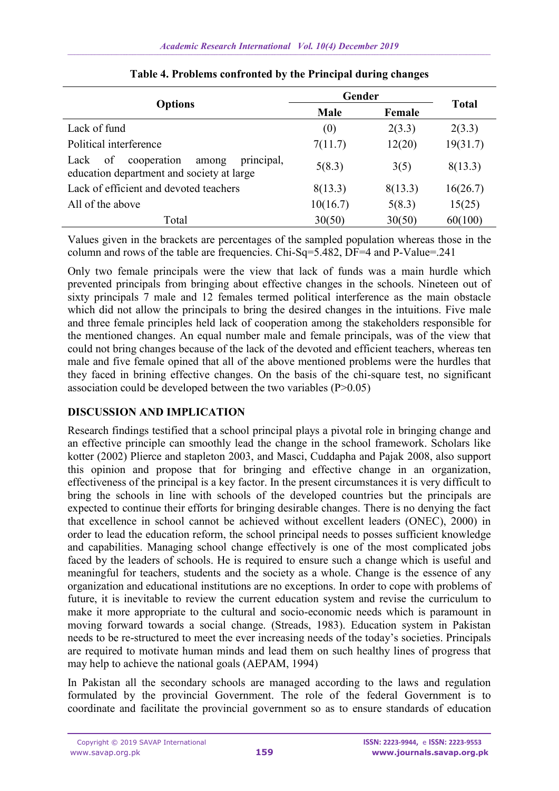|                                                                                               | Gender   |         |              |
|-----------------------------------------------------------------------------------------------|----------|---------|--------------|
| <b>Options</b>                                                                                | Male     | Female  | <b>Total</b> |
| Lack of fund                                                                                  | (0)      | 2(3.3)  | 2(3.3)       |
| Political interference                                                                        | 7(11.7)  | 12(20)  | 19(31.7)     |
| principal,<br>cooperation<br>of<br>Lack<br>among<br>education department and society at large | 5(8.3)   | 3(5)    | 8(13.3)      |
| Lack of efficient and devoted teachers                                                        | 8(13.3)  | 8(13.3) | 16(26.7)     |
| All of the above                                                                              | 10(16.7) | 5(8.3)  | 15(25)       |
| Total                                                                                         | 30(50)   | 30(50)  | 60(100)      |

Values given in the brackets are percentages of the sampled population whereas those in the column and rows of the table are frequencies. Chi-Sq=5.482, DF=4 and P-Value=.241

Only two female principals were the view that lack of funds was a main hurdle which prevented principals from bringing about effective changes in the schools. Nineteen out of sixty principals 7 male and 12 females termed political interference as the main obstacle which did not allow the principals to bring the desired changes in the intuitions. Five male and three female principles held lack of cooperation among the stakeholders responsible for the mentioned changes. An equal number male and female principals, was of the view that could not bring changes because of the lack of the devoted and efficient teachers, whereas ten male and five female opined that all of the above mentioned problems were the hurdles that they faced in brining effective changes. On the basis of the chi-square test, no significant association could be developed between the two variables  $(P>0.05)$ 

# **DISCUSSION AND IMPLICATION**

Research findings testified that a school principal plays a pivotal role in bringing change and an effective principle can smoothly lead the change in the school framework. Scholars like kotter (2002) Plierce and stapleton 2003, and Masci, Cuddapha and Pajak 2008, also support this opinion and propose that for bringing and effective change in an organization, effectiveness of the principal is a key factor. In the present circumstances it is very difficult to bring the schools in line with schools of the developed countries but the principals are expected to continue their efforts for bringing desirable changes. There is no denying the fact that excellence in school cannot be achieved without excellent leaders (ONEC), 2000) in order to lead the education reform, the school principal needs to posses sufficient knowledge and capabilities. Managing school change effectively is one of the most complicated jobs faced by the leaders of schools. He is required to ensure such a change which is useful and meaningful for teachers, students and the society as a whole. Change is the essence of any organization and educational institutions are no exceptions. In order to cope with problems of future, it is inevitable to review the current education system and revise the curriculum to make it more appropriate to the cultural and socio-economic needs which is paramount in moving forward towards a social change. (Streads, 1983). Education system in Pakistan needs to be re-structured to meet the ever increasing needs of the today's societies. Principals are required to motivate human minds and lead them on such healthy lines of progress that may help to achieve the national goals (AEPAM, 1994)

In Pakistan all the secondary schools are managed according to the laws and regulation formulated by the provincial Government. The role of the federal Government is to coordinate and facilitate the provincial government so as to ensure standards of education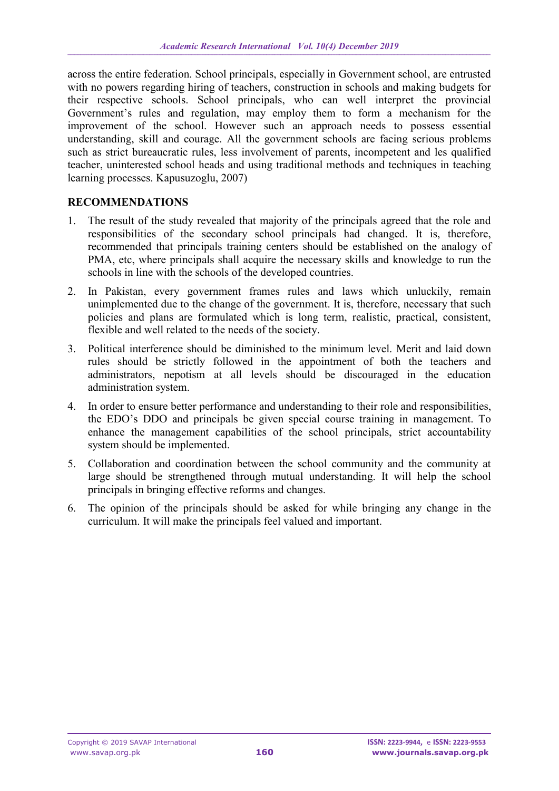across the entire federation. School principals, especially in Government school, are entrusted with no powers regarding hiring of teachers, construction in schools and making budgets for their respective schools. School principals, who can well interpret the provincial Government's rules and regulation, may employ them to form a mechanism for the improvement of the school. However such an approach needs to possess essential understanding, skill and courage. All the government schools are facing serious problems such as strict bureaucratic rules, less involvement of parents, incompetent and les qualified teacher, uninterested school heads and using traditional methods and techniques in teaching learning processes. Kapusuzoglu, 2007)

## **RECOMMENDATIONS**

- 1. The result of the study revealed that majority of the principals agreed that the role and responsibilities of the secondary school principals had changed. It is, therefore, recommended that principals training centers should be established on the analogy of PMA, etc, where principals shall acquire the necessary skills and knowledge to run the schools in line with the schools of the developed countries.
- 2. In Pakistan, every government frames rules and laws which unluckily, remain unimplemented due to the change of the government. It is, therefore, necessary that such policies and plans are formulated which is long term, realistic, practical, consistent, flexible and well related to the needs of the society.
- 3. Political interference should be diminished to the minimum level. Merit and laid down rules should be strictly followed in the appointment of both the teachers and administrators, nepotism at all levels should be discouraged in the education administration system.
- 4. In order to ensure better performance and understanding to their role and responsibilities, the EDO's DDO and principals be given special course training in management. To enhance the management capabilities of the school principals, strict accountability system should be implemented.
- 5. Collaboration and coordination between the school community and the community at large should be strengthened through mutual understanding. It will help the school principals in bringing effective reforms and changes.
- 6. The opinion of the principals should be asked for while bringing any change in the curriculum. It will make the principals feel valued and important.